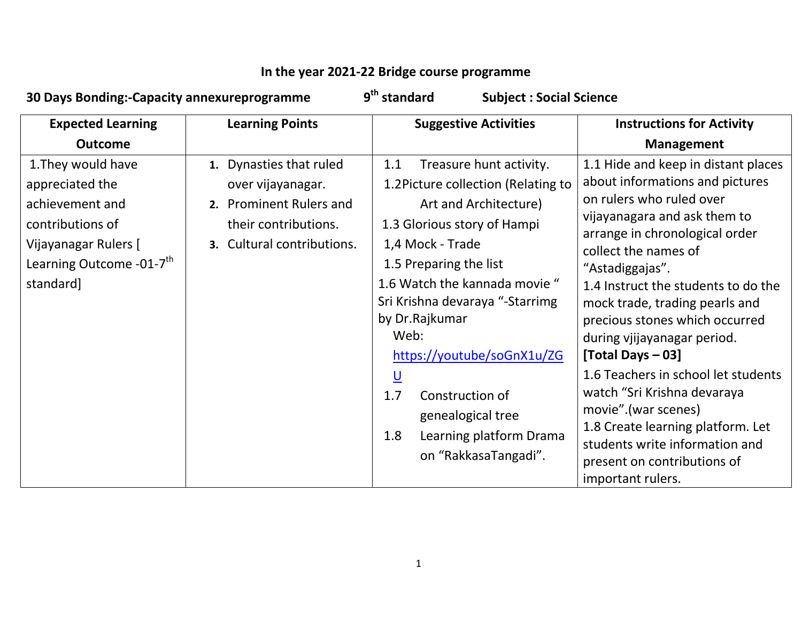## In the year 2021-22 Bridge course programme

| 30 Days Bonding:-Capacity annexureprogramme                                                                                                               |                                                                                                                               | 9 <sup>th</sup> standard<br><b>Subject: Social Science</b>                                                                                                                                                                                                                                                                                                                                                                                  |                                                                                                                                                                                                                                                                                                                                                                                                                                                                                                                                                                                                        |
|-----------------------------------------------------------------------------------------------------------------------------------------------------------|-------------------------------------------------------------------------------------------------------------------------------|---------------------------------------------------------------------------------------------------------------------------------------------------------------------------------------------------------------------------------------------------------------------------------------------------------------------------------------------------------------------------------------------------------------------------------------------|--------------------------------------------------------------------------------------------------------------------------------------------------------------------------------------------------------------------------------------------------------------------------------------------------------------------------------------------------------------------------------------------------------------------------------------------------------------------------------------------------------------------------------------------------------------------------------------------------------|
| <b>Expected Learning</b><br><b>Outcome</b>                                                                                                                | <b>Learning Points</b>                                                                                                        | <b>Suggestive Activities</b>                                                                                                                                                                                                                                                                                                                                                                                                                | <b>Instructions for Activity</b><br><b>Management</b>                                                                                                                                                                                                                                                                                                                                                                                                                                                                                                                                                  |
| 1. They would have<br>appreciated the<br>achievement and<br>contributions of<br>Vijayanagar Rulers [<br>Learning Outcome -01-7 <sup>th</sup><br>standard] | 1. Dynasties that ruled<br>over vijayanagar.<br>2. Prominent Rulers and<br>their contributions.<br>3. Cultural contributions. | Treasure hunt activity.<br>1.1<br>1.2Picture collection (Relating to<br>Art and Architecture)<br>1.3 Glorious story of Hampi<br>1,4 Mock - Trade<br>1.5 Preparing the list<br>1.6 Watch the kannada movie "<br>Sri Krishna devaraya "-Starrimg<br>by Dr.Rajkumar<br>Web:<br>https://youtube/soGnX1u/ZG<br>$\underline{\mathsf{U}}$<br>1.7<br>Construction of<br>genealogical tree<br>Learning platform Drama<br>1.8<br>on "RakkasaTangadi". | 1.1 Hide and keep in distant places<br>about informations and pictures<br>on rulers who ruled over<br>vijayanagara and ask them to<br>arrange in chronological order<br>collect the names of<br>"Astadiggajas".<br>1.4 Instruct the students to do the<br>mock trade, trading pearls and<br>precious stones which occurred<br>during vjijayanagar period.<br>[Total Days - 03]<br>1.6 Teachers in school let students<br>watch "Sri Krishna devaraya<br>movie".(war scenes)<br>1.8 Create learning platform. Let<br>students write information and<br>present on contributions of<br>important rulers. |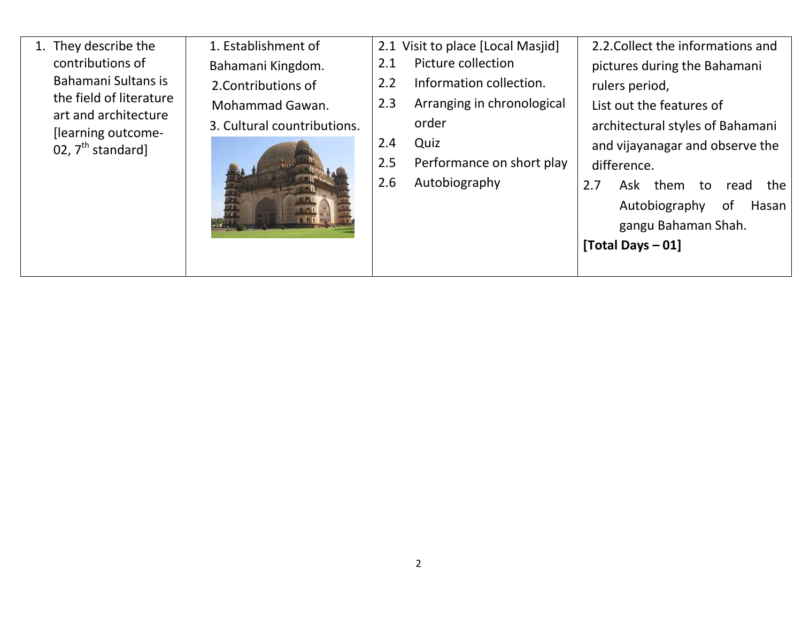1. They describe the contributions of Bahamani Sultans is the field of literature art and architecture [learning outcome-02, 7<sup>th</sup> standard]

| 1. Establishment of         |  |  |  |
|-----------------------------|--|--|--|
|                             |  |  |  |
| Bahamani Kingdom.           |  |  |  |
| 2. Contributions of         |  |  |  |
| Mohammad Gawan.             |  |  |  |
| 3. Cultural countributions. |  |  |  |
|                             |  |  |  |

|         | 2.1 Visit to place [Local Masjid] |               | 2.2. Collect the informations and |                                  |  |                     |  |      |       |
|---------|-----------------------------------|---------------|-----------------------------------|----------------------------------|--|---------------------|--|------|-------|
|         | Picture collection<br>2.1         |               | pictures during the Bahamani      |                                  |  |                     |  |      |       |
|         |                                   | $2.2^{\circ}$ | Information collection.           |                                  |  | rulers period,      |  |      |       |
|         |                                   | 2.3           | Arranging in chronological        | List out the features of         |  |                     |  |      |       |
| itions. |                                   |               | order                             | architectural styles of Bahamani |  |                     |  |      |       |
|         |                                   | 2.4           | Quiz                              | and vijayanagar and observe the  |  |                     |  |      |       |
|         |                                   | 2.5           | Performance on short play         | difference.                      |  |                     |  |      |       |
|         |                                   | 2.6           | Autobiography                     | 2.7                              |  | Ask them to         |  | read | the   |
|         |                                   |               |                                   |                                  |  | Autobiography       |  | of   | Hasan |
|         |                                   |               |                                   |                                  |  | gangu Bahaman Shah. |  |      |       |
|         |                                   |               |                                   | [Total Days $-01$ ]              |  |                     |  |      |       |
|         |                                   |               |                                   |                                  |  |                     |  |      |       |

2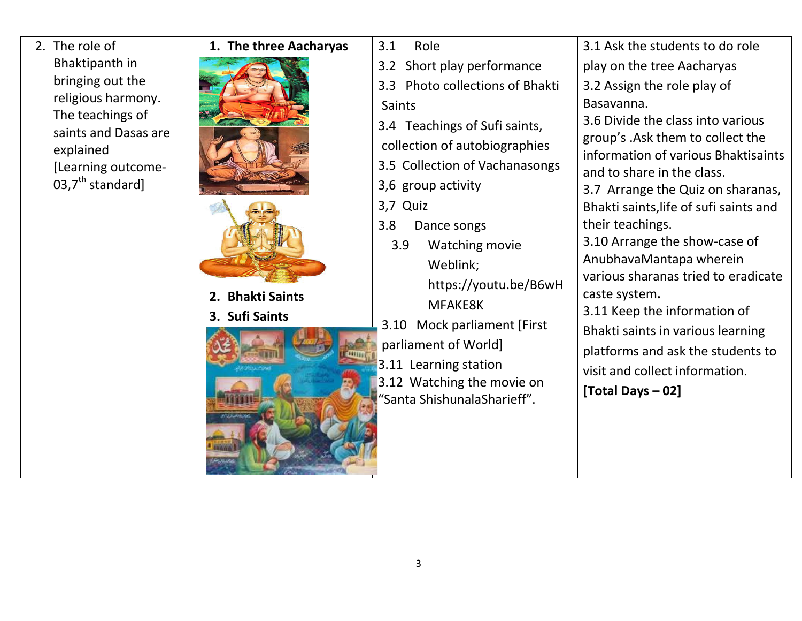2. The role of Bhaktipanth in bringing out the religious harmony. The teachings of saints and Dasas are explained [Learning outcome-03,7 $th$  standard]

| 1. The three Aacharyas | 3.1<br>Role                     |
|------------------------|---------------------------------|
|                        | 3.2 Short play performance      |
|                        | 3.3 Photo collections of Bhakti |
|                        | <b>Saints</b>                   |
|                        | 3.4 Teachings of Sufi saints,   |
|                        | collection of autobiographies   |
|                        | 3.5 Collection of Vachanasongs  |
|                        | 3,6 group activity              |
|                        | 3,7 Quiz                        |
|                        | 3.8<br>Dance songs              |
|                        | 3.9<br><b>Watching movie</b>    |
|                        | Weblink;                        |
|                        | https://youtu.be/B6wH           |
| 2. Bhakti Saints       | MFAKE8K                         |
| 3. Sufi Saints         | 3.10<br>Mock parliament [First  |
|                        | parliament of World]            |
|                        |                                 |
|                        | 3.11 Learning station           |
|                        | 3.12 Watching the movie on      |
|                        | "Santa ShishunalaSharieff".     |
|                        |                                 |
|                        |                                 |
|                        |                                 |
|                        |                                 |
|                        |                                 |

3.1 Ask the students to do role play on the tree Aacharyas 3.2 Assign the role play of Basavanna. 3.6 Divide the class into various group's .Ask them to collect the information of various Bhaktisaints and to share in the class. 3.7 Arrange the Quiz on sharanas, Bhakti saints,life of sufi saints and their teachings. 3.10 Arrange the show-case of AnubhavaMantapa wherein various sharanas tried to eradicate caste system.3.11 Keep the information of Bhakti saints in various learning platforms and ask the students to visit and collect information. [Total Days – 02]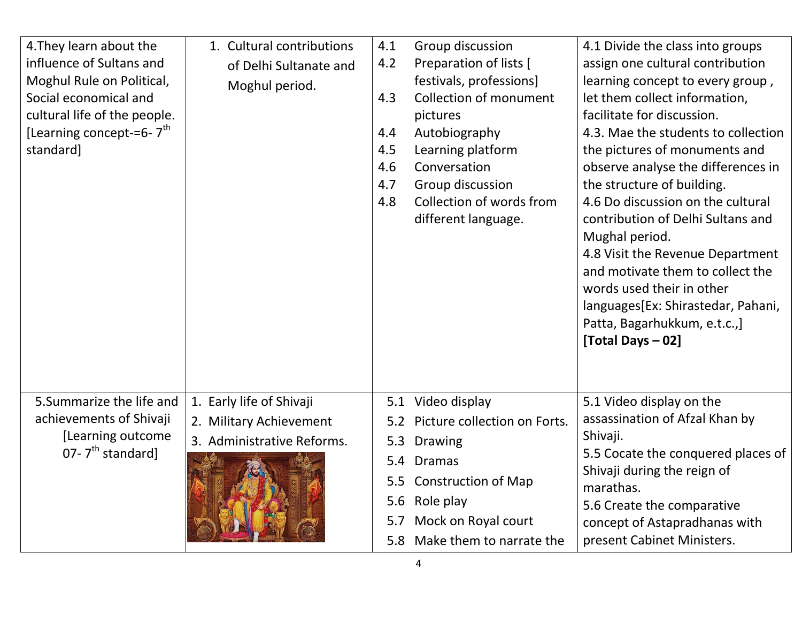| 4. They learn about the<br>influence of Sultans and<br>Moghul Rule on Political,<br>Social economical and<br>cultural life of the people.<br>[Learning concept-=6- $7th$<br>standard] | 1. Cultural contributions<br>of Delhi Sultanate and<br>Moghul period.             | 4.1<br>4.2<br>4.3<br>4.4<br>4.5<br>4.6<br>4.7<br>4.8 | Group discussion<br>Preparation of lists [<br>festivals, professions]<br><b>Collection of monument</b><br>pictures<br>Autobiography<br>Learning platform<br>Conversation<br>Group discussion<br>Collection of words from<br>different language. | 4.1 Divide the class into groups<br>assign one cultural contribution<br>learning concept to every group,<br>let them collect information,<br>facilitate for discussion.<br>4.3. Mae the students to collection<br>the pictures of monuments and<br>observe analyse the differences in<br>the structure of building.<br>4.6 Do discussion on the cultural<br>contribution of Delhi Sultans and<br>Mughal period.<br>4.8 Visit the Revenue Department<br>and motivate them to collect the<br>words used their in other<br>languages[Ex: Shirastedar, Pahani,<br>Patta, Bagarhukkum, e.t.c.,]<br>[Total Days - 02] |
|---------------------------------------------------------------------------------------------------------------------------------------------------------------------------------------|-----------------------------------------------------------------------------------|------------------------------------------------------|-------------------------------------------------------------------------------------------------------------------------------------------------------------------------------------------------------------------------------------------------|-----------------------------------------------------------------------------------------------------------------------------------------------------------------------------------------------------------------------------------------------------------------------------------------------------------------------------------------------------------------------------------------------------------------------------------------------------------------------------------------------------------------------------------------------------------------------------------------------------------------|
| 5. Summarize the life and<br>achievements of Shivaji<br>[Learning outcome<br>07- $7th$ standard]                                                                                      | 1. Early life of Shivaji<br>2. Military Achievement<br>3. Administrative Reforms. | 5.1<br>5.2<br>5.3<br>5.4<br>5.5<br>5.6<br>5.7<br>5.8 | Video display<br>Picture collection on Forts.<br><b>Drawing</b><br><b>Dramas</b><br><b>Construction of Map</b><br>Role play<br>Mock on Royal court<br>Make them to narrate the                                                                  | 5.1 Video display on the<br>assassination of Afzal Khan by<br>Shivaji.<br>5.5 Cocate the conquered places of<br>Shivaji during the reign of<br>marathas.<br>5.6 Create the comparative<br>concept of Astapradhanas with<br>present Cabinet Ministers.                                                                                                                                                                                                                                                                                                                                                           |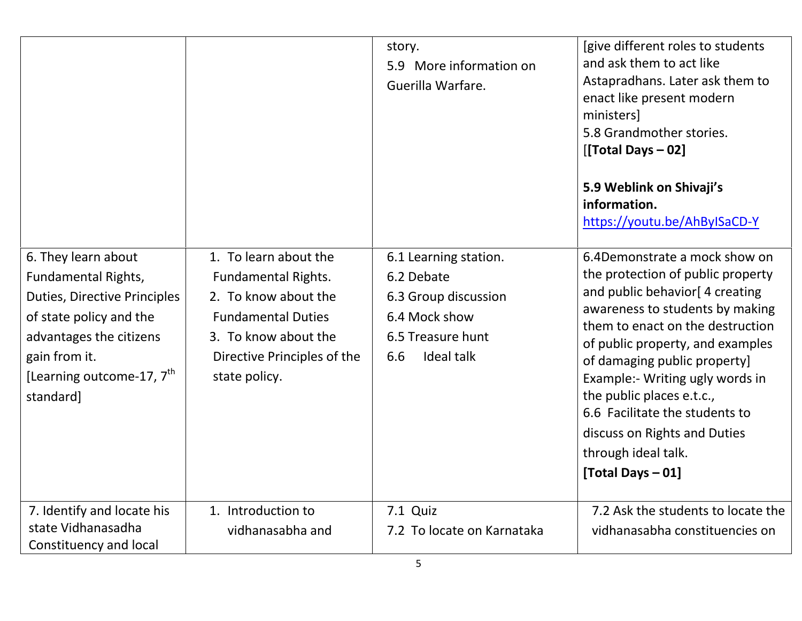|                                                                                                                                                                                                                |                                                                                                                                                                                  | story.<br>More information on<br>5.9<br>Guerilla Warfare.                                                                     | [give different roles to students<br>and ask them to act like<br>Astapradhans. Later ask them to<br>enact like present modern<br>ministers]<br>5.8 Grandmother stories.<br>[[Total Days - 02]<br>5.9 Weblink on Shivaji's<br>information.<br>https://youtu.be/AhByISaCD-Y                                                                                                                                                      |
|----------------------------------------------------------------------------------------------------------------------------------------------------------------------------------------------------------------|----------------------------------------------------------------------------------------------------------------------------------------------------------------------------------|-------------------------------------------------------------------------------------------------------------------------------|--------------------------------------------------------------------------------------------------------------------------------------------------------------------------------------------------------------------------------------------------------------------------------------------------------------------------------------------------------------------------------------------------------------------------------|
| 6. They learn about<br>Fundamental Rights,<br><b>Duties, Directive Principles</b><br>of state policy and the<br>advantages the citizens<br>gain from it.<br>[Learning outcome-17, $7^{\text{th}}$<br>standard] | 1. To learn about the<br><b>Fundamental Rights.</b><br>2. To know about the<br><b>Fundamental Duties</b><br>3. To know about the<br>Directive Principles of the<br>state policy. | 6.1 Learning station.<br>6.2 Debate<br>6.3 Group discussion<br>6.4 Mock show<br>6.5 Treasure hunt<br><b>Ideal talk</b><br>6.6 | 6.4Demonstrate a mock show on<br>the protection of public property<br>and public behavior [4 creating<br>awareness to students by making<br>them to enact on the destruction<br>of public property, and examples<br>of damaging public property]<br>Example:- Writing ugly words in<br>the public places e.t.c.,<br>6.6 Facilitate the students to<br>discuss on Rights and Duties<br>through ideal talk.<br>[Total Days - 01] |
| 7. Identify and locate his<br>state Vidhanasadha<br>Constituency and local                                                                                                                                     | 1. Introduction to<br>vidhanasabha and                                                                                                                                           | 7.1 Quiz<br>7.2 To locate on Karnataka                                                                                        | 7.2 Ask the students to locate the<br>vidhanasabha constituencies on                                                                                                                                                                                                                                                                                                                                                           |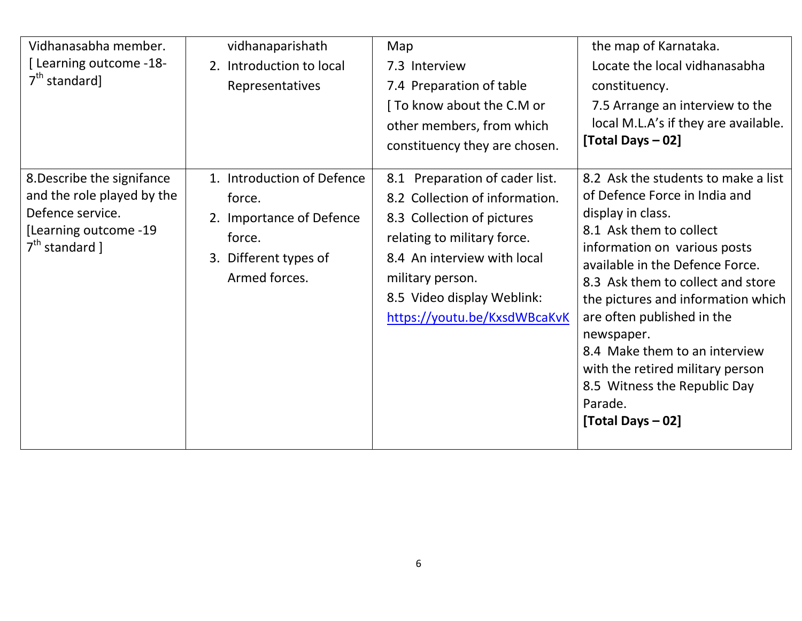| Vidhanasabha member.<br>[Learning outcome -18-<br>$7th$ standard]                                                         | vidhanaparishath<br>2. Introduction to local<br>Representatives                                                      | Map<br>7.3 Interview<br>7.4 Preparation of table<br>[ To know about the C.M or<br>other members, from which<br>constituency they are chosen.                                                                                                      | the map of Karnataka.<br>Locate the local vidhanasabha<br>constituency.<br>7.5 Arrange an interview to the<br>local M.L.A's if they are available.<br>[Total Days - 02]                                                                                                                                                                                                                                                                             |
|---------------------------------------------------------------------------------------------------------------------------|----------------------------------------------------------------------------------------------------------------------|---------------------------------------------------------------------------------------------------------------------------------------------------------------------------------------------------------------------------------------------------|-----------------------------------------------------------------------------------------------------------------------------------------------------------------------------------------------------------------------------------------------------------------------------------------------------------------------------------------------------------------------------------------------------------------------------------------------------|
| 8. Describe the signifance<br>and the role played by the<br>Defence service.<br>[Learning outcome -19<br>$7th$ standard ] | 1. Introduction of Defence<br>force.<br>2. Importance of Defence<br>force.<br>3. Different types of<br>Armed forces. | Preparation of cader list.<br>8.1<br>8.2 Collection of information.<br>8.3 Collection of pictures<br>relating to military force.<br>8.4 An interview with local<br>military person.<br>8.5 Video display Weblink:<br>https://youtu.be/KxsdWBcaKvK | 8.2 Ask the students to make a list<br>of Defence Force in India and<br>display in class.<br>8.1 Ask them to collect<br>information on various posts<br>available in the Defence Force.<br>8.3 Ask them to collect and store<br>the pictures and information which<br>are often published in the<br>newspaper.<br>8.4 Make them to an interview<br>with the retired military person<br>8.5 Witness the Republic Day<br>Parade.<br>[Total Days - 02] |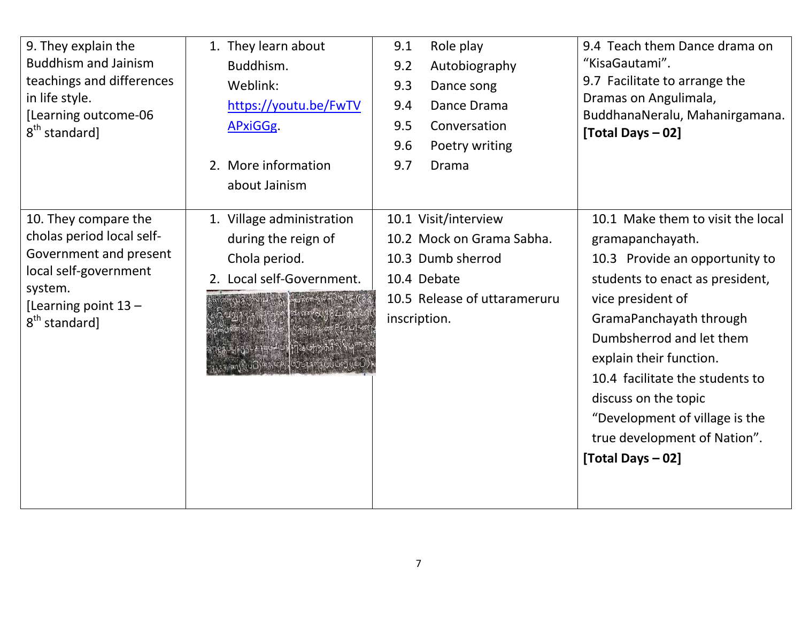| 9. They explain the<br><b>Buddhism and Jainism</b><br>teachings and differences<br>in life style.<br>[Learning outcome-06<br>$8th$ standard]                         | 1. They learn about<br>Buddhism.<br>Weblink:<br>https://youtu.be/FwTV<br>APxiGGg.<br>2. More information<br>about Jainism                       | Role play<br>9.1<br>Autobiography<br>9.2<br>9.3<br>Dance song<br>Dance Drama<br>9.4<br>9.5<br>Conversation<br>Poetry writing<br>9.6<br>9.7<br>Drama | 9.4 Teach them Dance drama on<br>"KisaGautami".<br>9.7 Facilitate to arrange the<br>Dramas on Angulimala,<br>BuddhanaNeralu, Mahanirgamana.<br>[Total Days - 02]                                                                                                                                                                                                                    |
|----------------------------------------------------------------------------------------------------------------------------------------------------------------------|-------------------------------------------------------------------------------------------------------------------------------------------------|-----------------------------------------------------------------------------------------------------------------------------------------------------|-------------------------------------------------------------------------------------------------------------------------------------------------------------------------------------------------------------------------------------------------------------------------------------------------------------------------------------------------------------------------------------|
| 10. They compare the<br>cholas period local self-<br>Government and present<br>local self-government<br>system.<br>[Learning point 13 -<br>8 <sup>th</sup> standard] | 1. Village administration<br>during the reign of<br>Chola period.<br>2. Local self-Government.<br>CHIOS AHOMPHINGHRAN<br>Ansolucional 44 100017 | 10.1 Visit/interview<br>10.2 Mock on Grama Sabha.<br>10.3 Dumb sherrod<br>10.4 Debate<br>10.5 Release of uttarameruru<br>inscription.               | 10.1 Make them to visit the local<br>gramapanchayath.<br>10.3 Provide an opportunity to<br>students to enact as president,<br>vice president of<br>GramaPanchayath through<br>Dumbsherrod and let them<br>explain their function.<br>10.4 facilitate the students to<br>discuss on the topic<br>"Development of village is the<br>true development of Nation".<br>[Total Days - 02] |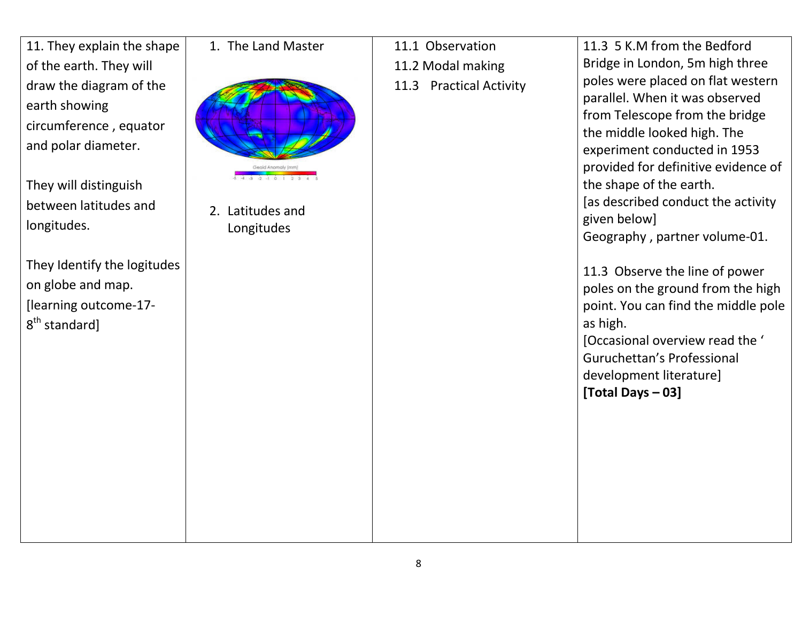11. They explain the shape of the earth. They will draw the diagram of the earth showing circumference , equator and polar diameter.

They will distinguish between latitudes and longitudes.

They Identify the logitudes on globe and map. [learning outcome-17-  $8<sup>th</sup>$  standard]

1. The Land Master



2. Latitudes and Longitudes

11.1 Observation

11.2 Modal making

11.3 Practical Activity

11.3 5 K.M from the Bedford Bridge in London, 5m high three poles were placed on flat western parallel. When it was observed from Telescope from the bridge the middle looked high. The experiment conducted in 1953 provided for definitive evidence of the shape of the earth. [as described conduct the activity given below] Geography , partner volume-01. 11.3 Observe the line of power poles on the ground from the high point. You can find the middle pole as high. [Occasional overview read the ' Guruchettan's Professional development literature] [Total Days – 03]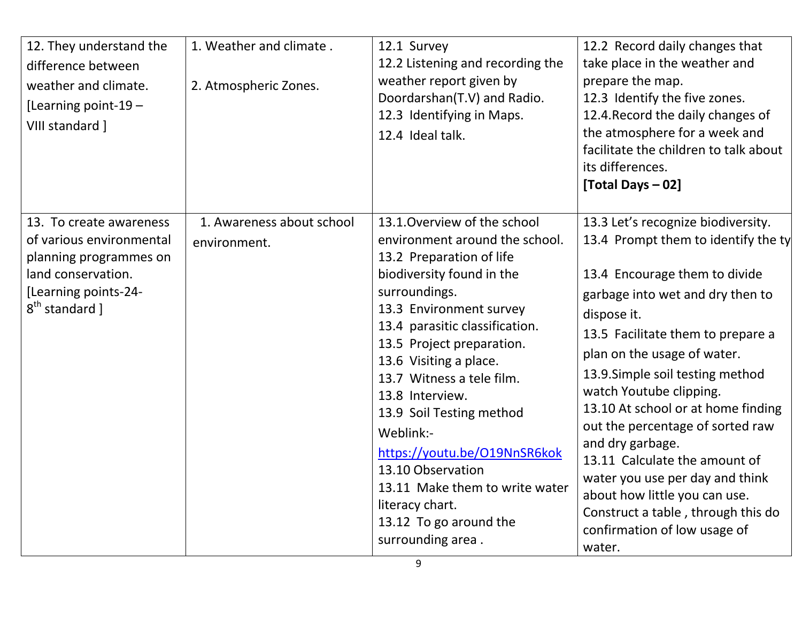| 12. They understand the<br>difference between<br>weather and climate.<br>[Learning point-19 $-$<br>VIII standard ]                                        | 1. Weather and climate.<br>2. Atmospheric Zones. | 12.1 Survey<br>12.2 Listening and recording the<br>weather report given by<br>Doordarshan(T.V) and Radio.<br>12.3 Identifying in Maps.<br>12.4 Ideal talk.                                                                                                                                                                                                                                                                                                                                                     | 12.2 Record daily changes that<br>take place in the weather and<br>prepare the map.<br>12.3 Identify the five zones.<br>12.4. Record the daily changes of<br>the atmosphere for a week and<br>facilitate the children to talk about<br>its differences.<br>[Total Days - 02]                                                                                                                                                                                                                                                                                                        |
|-----------------------------------------------------------------------------------------------------------------------------------------------------------|--------------------------------------------------|----------------------------------------------------------------------------------------------------------------------------------------------------------------------------------------------------------------------------------------------------------------------------------------------------------------------------------------------------------------------------------------------------------------------------------------------------------------------------------------------------------------|-------------------------------------------------------------------------------------------------------------------------------------------------------------------------------------------------------------------------------------------------------------------------------------------------------------------------------------------------------------------------------------------------------------------------------------------------------------------------------------------------------------------------------------------------------------------------------------|
| 13. To create awareness<br>of various environmental<br>planning programmes on<br>land conservation.<br>[Learning points-24-<br>8 <sup>th</sup> standard ] | 1. Awareness about school<br>environment.        | 13.1. Overview of the school<br>environment around the school.<br>13.2 Preparation of life<br>biodiversity found in the<br>surroundings.<br>13.3 Environment survey<br>13.4 parasitic classification.<br>13.5 Project preparation.<br>13.6 Visiting a place.<br>13.7 Witness a tele film.<br>13.8 Interview.<br>13.9 Soil Testing method<br>Weblink:-<br>https://youtu.be/O19NnSR6kok<br>13.10 Observation<br>13.11 Make them to write water<br>literacy chart.<br>13.12 To go around the<br>surrounding area. | 13.3 Let's recognize biodiversity.<br>13.4 Prompt them to identify the ty<br>13.4 Encourage them to divide<br>garbage into wet and dry then to<br>dispose it.<br>13.5 Facilitate them to prepare a<br>plan on the usage of water.<br>13.9. Simple soil testing method<br>watch Youtube clipping.<br>13.10 At school or at home finding<br>out the percentage of sorted raw<br>and dry garbage.<br>13.11 Calculate the amount of<br>water you use per day and think<br>about how little you can use.<br>Construct a table, through this do<br>confirmation of low usage of<br>water. |